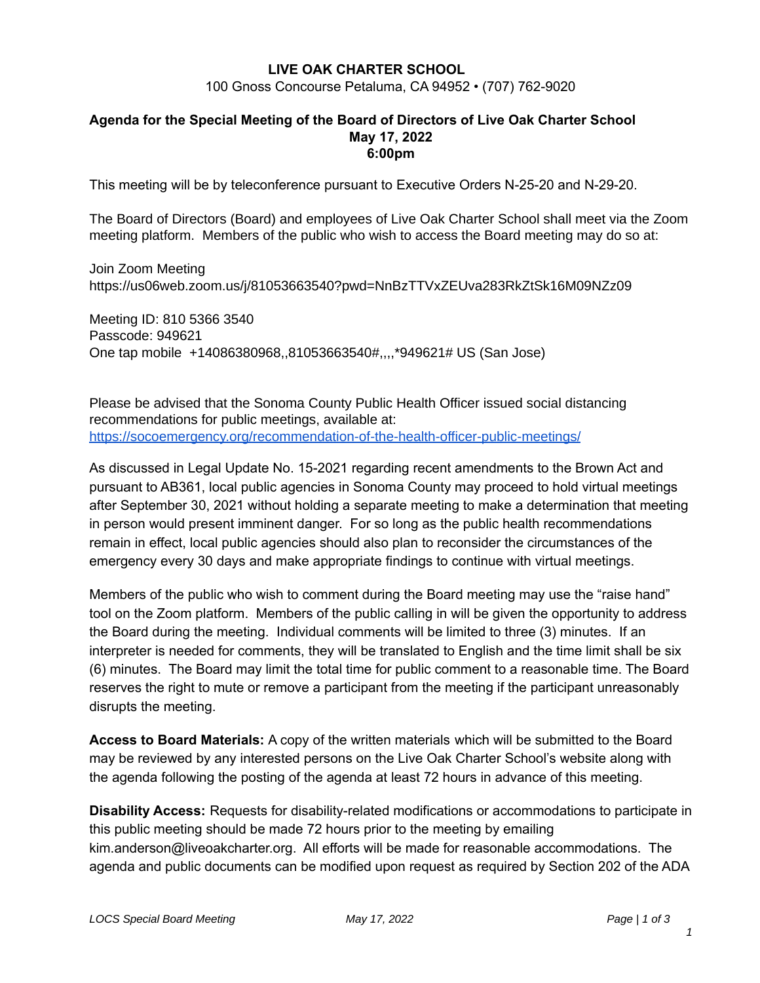## **LIVE OAK CHARTER SCHOOL**

100 Gnoss Concourse Petaluma, CA 94952 • (707) 762-9020

### **Agenda for the Special Meeting of the Board of Directors of Live Oak Charter School May 17, 2022 6:00pm**

This meeting will be by teleconference pursuant to Executive Orders N-25-20 and N-29-20.

The Board of Directors (Board) and employees of Live Oak Charter School shall meet via the Zoom meeting platform. Members of the public who wish to access the Board meeting may do so at:

Join Zoom Meeting https://us06web.zoom.us/j/81053663540?pwd=NnBzTTVxZEUva283RkZtSk16M09NZz09

Meeting ID: 810 5366 3540 Passcode: 949621 One tap mobile +14086380968,,81053663540#,,,,\*949621# US (San Jose)

Please be advised that the Sonoma County Public Health Officer issued social distancing recommendations for public meetings, available at: <https://socoemergency.org/recommendation-of-the-health-officer-public-meetings/>

As discussed in Legal Update No. 15-2021 regarding recent amendments to the Brown Act and pursuant to AB361, local public agencies in Sonoma County may proceed to hold virtual meetings after September 30, 2021 without holding a separate meeting to make a determination that meeting in person would present imminent danger. For so long as the public health recommendations remain in effect, local public agencies should also plan to reconsider the circumstances of the emergency every 30 days and make appropriate findings to continue with virtual meetings.

Members of the public who wish to comment during the Board meeting may use the "raise hand" tool on the Zoom platform. Members of the public calling in will be given the opportunity to address the Board during the meeting. Individual comments will be limited to three (3) minutes. If an interpreter is needed for comments, they will be translated to English and the time limit shall be six (6) minutes. The Board may limit the total time for public comment to a reasonable time. The Board reserves the right to mute or remove a participant from the meeting if the participant unreasonably disrupts the meeting.

**Access to Board Materials:** A copy of the written materials which will be submitted to the Board may be reviewed by any interested persons on the Live Oak Charter School's website along with the agenda following the posting of the agenda at least 72 hours in advance of this meeting.

**Disability Access:** Requests for disability-related modifications or accommodations to participate in this public meeting should be made 72 hours prior to the meeting by emailing kim.anderson@liveoakcharter.org. All efforts will be made for reasonable accommodations. The agenda and public documents can be modified upon request as required by Section 202 of the ADA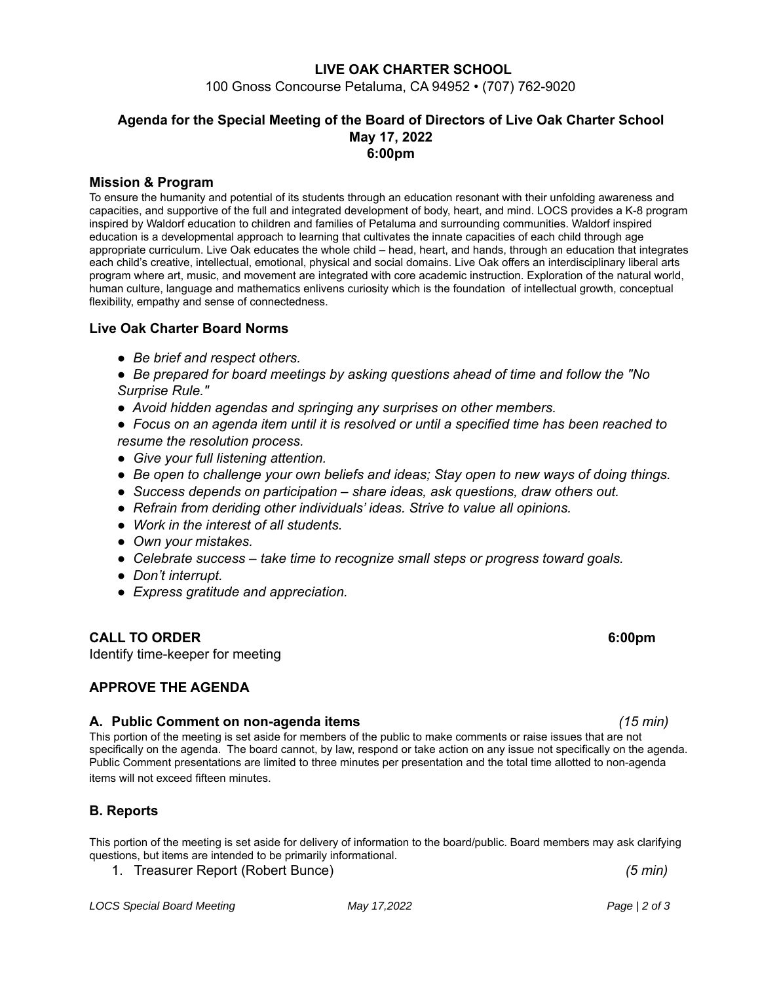### **LIVE OAK CHARTER SCHOOL**

100 Gnoss Concourse Petaluma, CA 94952 • (707) 762-9020

### **Agenda for the Special Meeting of the Board of Directors of Live Oak Charter School May 17, 2022 6:00pm**

#### **Mission & Program**

To ensure the humanity and potential of its students through an education resonant with their unfolding awareness and capacities, and supportive of the full and integrated development of body, heart, and mind. LOCS provides a K-8 program inspired by Waldorf education to children and families of Petaluma and surrounding communities. Waldorf inspired education is a developmental approach to learning that cultivates the innate capacities of each child through age appropriate curriculum. Live Oak educates the whole child – head, heart, and hands, through an education that integrates each child's creative, intellectual, emotional, physical and social domains. Live Oak offers an interdisciplinary liberal arts program where art, music, and movement are integrated with core academic instruction. Exploration of the natural world, human culture, language and mathematics enlivens curiosity which is the foundation of intellectual growth, conceptual flexibility, empathy and sense of connectedness.

#### **Live Oak Charter Board Norms**

- *● Be brief and respect others.*
- *● Be prepared for board meetings by asking questions ahead of time and follow the "No Surprise Rule."*
- *● Avoid hidden agendas and springing any surprises on other members.*
- Focus on an agenda item until it is resolved or until a specified time has been reached to *resume the resolution process.*
- *● Give your full listening attention.*
- *● Be open to challenge your own beliefs and ideas; Stay open to new ways of doing things.*
- *● Success depends on participation – share ideas, ask questions, draw others out.*
- *● Refrain from deriding other individuals' ideas. Strive to value all opinions.*
- *● Work in the interest of all students.*
- *● Own your mistakes.*
- *● Celebrate success – take time to recognize small steps or progress toward goals.*
- *● Don't interrupt.*
- *● Express gratitude and appreciation.*

### **CALL TO ORDER 6:00pm**

Identify time-keeper for meeting

### **APPROVE THE AGENDA**

#### **A. Public Comment on non-agenda items** *(15 min)*

This portion of the meeting is set aside for members of the public to make comments or raise issues that are not specifically on the agenda. The board cannot, by law, respond or take action on any issue not specifically on the agenda. Public Comment presentations are limited to three minutes per presentation and the total time allotted to non-agenda items will not exceed fifteen minutes.

### **B. Reports**

This portion of the meeting is set aside for delivery of information to the board/public. Board members may ask clarifying questions, but items are intended to be primarily informational.

1. Treasurer Report (Robert Bunce) *(5 min)*